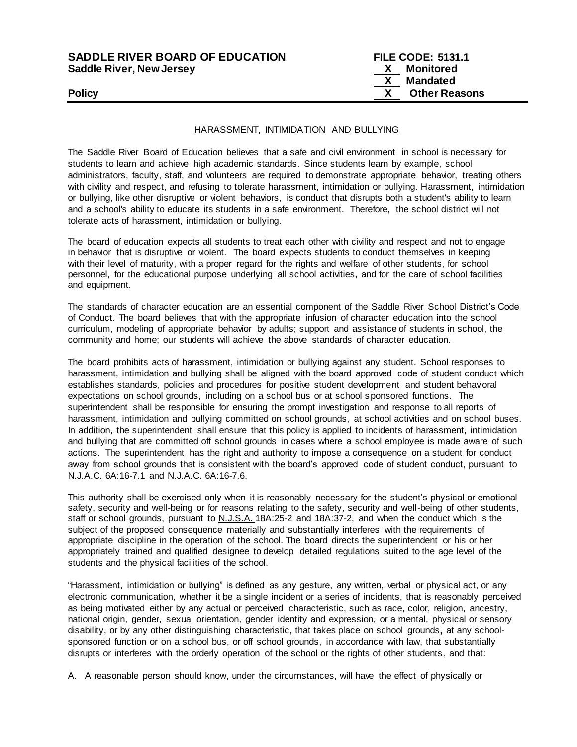# **SADDLE RIVER BOARD OF EDUCATION FILE CODE: 5131.1 Saddle River, New Jersey**

# HARASSMENT, INTIMIDATION AND BULLYING

The Saddle River Board of Education believes that a safe and civil environment in school is necessary for students to learn and achieve high academic standards. Since students learn by example, school administrators, faculty, staff, and volunteers are required to demonstrate appropriate behavior, treating others with civility and respect, and refusing to tolerate harassment, intimidation or bullying. Harassment, intimidation or bullying, like other disruptive or violent behaviors, is conduct that disrupts both a student's ability to learn and a school's ability to educate its students in a safe environment. Therefore, the school district will not tolerate acts of harassment, intimidation or bullying.

The board of education expects all students to treat each other with civility and respect and not to engage in behavior that is disruptive or violent. The board expects students to conduct themselves in keeping with their level of maturity, with a proper regard for the rights and welfare of other students, for school personnel, for the educational purpose underlying all school activities, and for the care of school facilities and equipment.

The standards of character education are an essential component of the Saddle River School District's Code of Conduct. The board believes that with the appropriate infusion of character education into the school curriculum, modeling of appropriate behavior by adults; support and assistance of students in school, the community and home; our students will achieve the above standards of character education.

The board prohibits acts of harassment, intimidation or bullying against any student. School responses to harassment, intimidation and bullying shall be aligned with the board approved code of student conduct which establishes standards, policies and procedures for positive student development and student behavioral expectations on school grounds, including on a school bus or at school sponsored functions. The superintendent shall be responsible for ensuring the prompt investigation and response to all reports of harassment, intimidation and bullying committed on school grounds, at school activities and on school buses. In addition, the superintendent shall ensure that this policy is applied to incidents of harassment, intimidation and bullying that are committed off school grounds in cases where a school employee is made aware of such actions. The superintendent has the right and authority to impose a consequence on a student for conduct away from school grounds that is consistent with the board's approved code of student conduct, pursuant to N.J.A.C. 6A:16-7.1 and N.J.A.C. 6A:16-7.6.

This authority shall be exercised only when it is reasonably necessary for the student's physical or emotional safety, security and well-being or for reasons relating to the safety, security and well-being of other students, staff or school grounds, pursuant to N.J.S.A. 18A:25-2 and 18A:37-2, and when the conduct which is the subject of the proposed consequence materially and substantially interferes with the requirements of appropriate discipline in the operation of the school. The board directs the superintendent or his or her appropriately trained and qualified designee to develop detailed regulations suited to the age level of the students and the physical facilities of the school.

"Harassment, intimidation or bullying" is defined as any gesture, any written, verbal or physical act, or any electronic communication, whether it be a single incident or a series of incidents, that is reasonably perceived as being motivated either by any actual or perceived characteristic, such as race, color, religion, ancestry, national origin, gender, sexual orientation, gender identity and expression, or a mental, physical or sensory disability, or by any other distinguishing characteristic, that takes place on school grounds**,** at any schoolsponsored function or on a school bus, or off school grounds, in accordance with law, that substantially disrupts or interferes with the orderly operation of the school or the rights of other students , and that:

A. A reasonable person should know, under the circumstances, will have the effect of physically or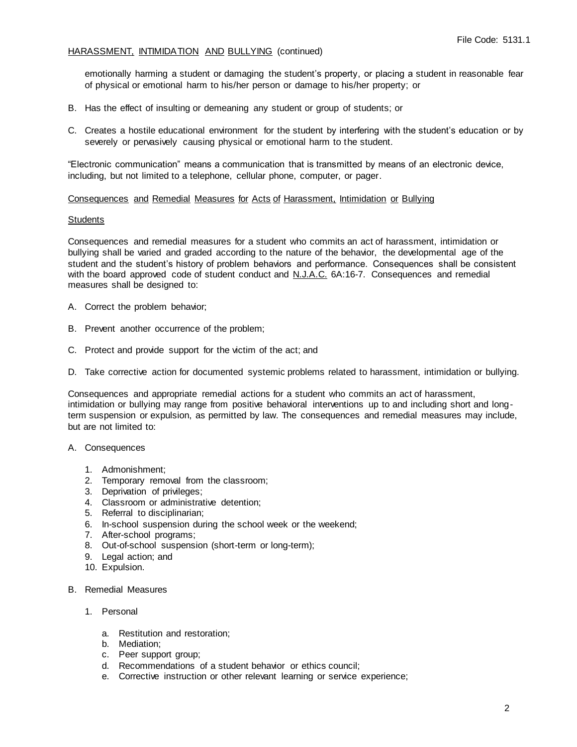emotionally harming a student or damaging the student's property, or placing a student in reasonable fear of physical or emotional harm to his/her person or damage to his/her property; or

- B. Has the effect of insulting or demeaning any student or group of students; or
- C. Creates a hostile educational environment for the student by interfering with the student's education or by severely or pervasively causing physical or emotional harm to the student.

"Electronic communication" means a communication that is transmitted by means of an electronic device, including, but not limited to a telephone, cellular phone, computer, or pager.

### Consequences and Remedial Measures for Acts of Harassment, Intimidation or Bullying

### **Students**

Consequences and remedial measures for a student who commits an act of harassment, intimidation or bullying shall be varied and graded according to the nature of the behavior, the developmental age of the student and the student's history of problem behaviors and performance. Consequences shall be consistent with the board approved code of student conduct and N.J.A.C. 6A:16-7. Consequences and remedial measures shall be designed to:

- A. Correct the problem behavior;
- B. Prevent another occurrence of the problem;
- C. Protect and provide support for the victim of the act; and
- D. Take corrective action for documented systemic problems related to harassment, intimidation or bullying.

Consequences and appropriate remedial actions for a student who commits an act of harassment, intimidation or bullying may range from positive behavioral interventions up to and including short and longterm suspension or expulsion, as permitted by law. The consequences and remedial measures may include, but are not limited to:

- A. Consequences
	- 1. Admonishment;
	- 2. Temporary removal from the classroom;
	- 3. Deprivation of privileges;
	- 4. Classroom or administrative detention;
	- 5. Referral to disciplinarian;
	- 6. In-school suspension during the school week or the weekend;
	- 7. After-school programs;
	- 8. Out-of-school suspension (short-term or long-term);
	- 9. Legal action; and
	- 10. Expulsion.

## B. Remedial Measures

- 1. Personal
	- a. Restitution and restoration;
	- b. Mediation;
	- c. Peer support group;
	- d. Recommendations of a student behavior or ethics council;
	- e. Corrective instruction or other relevant learning or service experience;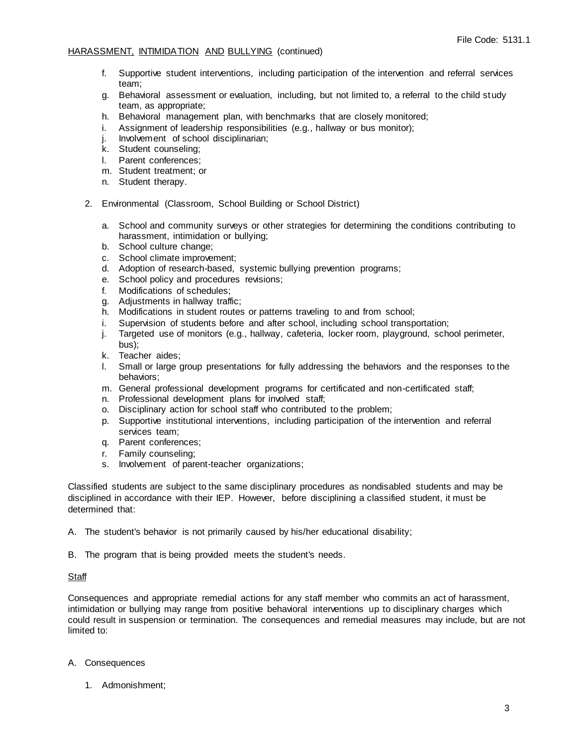- f. Supportive student interventions, including participation of the intervention and referral services team;
- g. Behavioral assessment or evaluation, including, but not limited to, a referral to the child study team, as appropriate;
- h. Behavioral management plan, with benchmarks that are closely monitored;
- i. Assignment of leadership responsibilities (e.g., hallway or bus monitor);
- j. Involvement of school disciplinarian;
- k. Student counseling;
- l. Parent conferences;
- m. Student treatment; or
- n. Student therapy.
- 2. Environmental (Classroom, School Building or School District)
	- a. School and community surveys or other strategies for determining the conditions contributing to harassment, intimidation or bullying;
	- b. School culture change;
	- c. School climate improvement;
	- d. Adoption of research-based, systemic bullying prevention programs;
	- e. School policy and procedures revisions;
	- f. Modifications of schedules;
	- g. Adjustments in hallway traffic;
	- h. Modifications in student routes or patterns traveling to and from school;
	- i. Supervision of students before and after school, including school transportation;
	- j. Targeted use of monitors (e.g., hallway, cafeteria, locker room, playground, school perimeter, bus);
	- k. Teacher aides;
	- l. Small or large group presentations for fully addressing the behaviors and the responses to the behaviors;
	- m. General professional development programs for certificated and non-certificated staff;
	- n. Professional development plans for involved staff;
	- o. Disciplinary action for school staff who contributed to the problem;
	- p. Supportive institutional interventions, including participation of the intervention and referral services team;
	- q. Parent conferences;
	- r. Family counseling;
	- s. Involvement of parent-teacher organizations;

Classified students are subject to the same disciplinary procedures as nondisabled students and may be disciplined in accordance with their IEP. However, before disciplining a classified student, it must be determined that:

- A. The student's behavior is not primarily caused by his/her educational disability;
- B. The program that is being provided meets the student's needs.

## **Staff**

Consequences and appropriate remedial actions for any staff member who commits an act of harassment, intimidation or bullying may range from positive behavioral interventions up to disciplinary charges which could result in suspension or termination. The consequences and remedial measures may include, but are not limited to:

- A. Consequences
	- 1. Admonishment;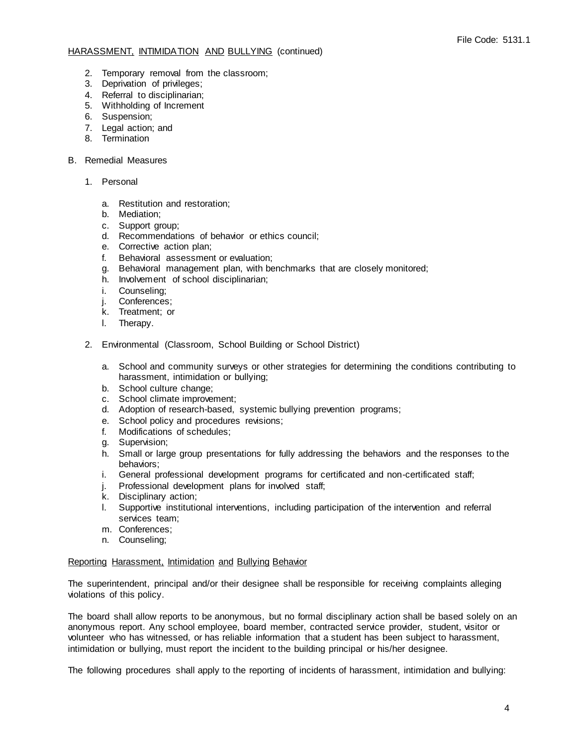- 2. Temporary removal from the classroom;
- 3. Deprivation of privileges;
- 4. Referral to disciplinarian;
- 5. Withholding of Increment
- 6. Suspension;
- 7. Legal action; and
- 8. Termination

## B. Remedial Measures

- 1. Personal
	- a. Restitution and restoration;
	- b. Mediation;
	- c. Support group;
	- d. Recommendations of behavior or ethics council;
	- e. Corrective action plan;
	- f. Behavioral assessment or evaluation;
	- g. Behavioral management plan, with benchmarks that are closely monitored;
	- h. Involvement of school disciplinarian;
	- i. Counseling;
	- j. Conferences;
	- k. Treatment; or
	- l. Therapy.
- 2. Environmental (Classroom, School Building or School District)
	- a. School and community surveys or other strategies for determining the conditions contributing to harassment, intimidation or bullying;
	- b. School culture change;
	- c. School climate improvement;
	- d. Adoption of research-based, systemic bullying prevention programs;
	- e. School policy and procedures revisions;
	- f. Modifications of schedules;
	- g. Supervision;
	- h. Small or large group presentations for fully addressing the behaviors and the responses to the behaviors;
	- i. General professional development programs for certificated and non-certificated staff;
	- j. Professional development plans for involved staff;
	- k. Disciplinary action;
	- l. Supportive institutional interventions, including participation of the intervention and referral services team;
	- m. Conferences;
	- n. Counseling;

## Reporting Harassment, Intimidation and Bullying Behavior

The superintendent, principal and/or their designee shall be responsible for receiving complaints alleging violations of this policy.

The board shall allow reports to be anonymous, but no formal disciplinary action shall be based solely on an anonymous report. Any school employee, board member, contracted service provider, student, visitor or volunteer who has witnessed, or has reliable information that a student has been subject to harassment, intimidation or bullying, must report the incident to the building principal or his/her designee.

The following procedures shall apply to the reporting of incidents of harassment, intimidation and bullying: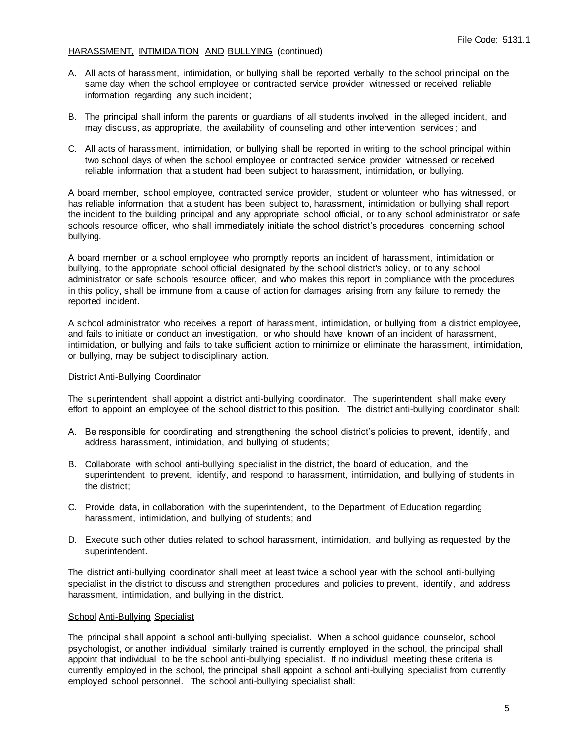- A. All acts of harassment, intimidation, or bullying shall be reported verbally to the school principal on the same day when the school employee or contracted service provider witnessed or received reliable information regarding any such incident;
- B. The principal shall inform the parents or guardians of all students involved in the alleged incident, and may discuss, as appropriate, the availability of counseling and other intervention services ; and
- C. All acts of harassment, intimidation, or bullying shall be reported in writing to the school principal within two school days of when the school employee or contracted service provider witnessed or received reliable information that a student had been subject to harassment, intimidation, or bullying.

A board member, school employee, contracted service provider, student or volunteer who has witnessed, or has reliable information that a student has been subject to, harassment, intimidation or bullying shall report the incident to the building principal and any appropriate school official, or to any school administrator or safe schools resource officer, who shall immediately initiate the school district's procedures concerning school bullying.

A board member or a school employee who promptly reports an incident of harassment, intimidation or bullying, to the appropriate school official designated by the school district's policy, or to any school administrator or safe schools resource officer, and who makes this report in compliance with the procedures in this policy, shall be immune from a cause of action for damages arising from any failure to remedy the reported incident.

A school administrator who receives a report of harassment, intimidation, or bullying from a district employee, and fails to initiate or conduct an investigation, or who should have known of an incident of harassment, intimidation, or bullying and fails to take sufficient action to minimize or eliminate the harassment, intimidation, or bullying, may be subject to disciplinary action.

#### District Anti-Bullying Coordinator

The superintendent shall appoint a district anti-bullying coordinator. The superintendent shall make every effort to appoint an employee of the school district to this position. The district anti-bullying coordinator shall:

- A. Be responsible for coordinating and strengthening the school district's policies to prevent, identify, and address harassment, intimidation, and bullying of students;
- B. Collaborate with school anti-bullying specialist in the district, the board of education, and the superintendent to prevent, identify, and respond to harassment, intimidation, and bullying of students in the district;
- C. Provide data, in collaboration with the superintendent, to the Department of Education regarding harassment, intimidation, and bullying of students; and
- D. Execute such other duties related to school harassment, intimidation, and bullying as requested by the superintendent.

The district anti-bullying coordinator shall meet at least twice a school year with the school anti-bullying specialist in the district to discuss and strengthen procedures and policies to prevent, identify , and address harassment, intimidation, and bullying in the district.

## School Anti-Bullying Specialist

The principal shall appoint a school anti-bullying specialist. When a school guidance counselor, school psychologist, or another individual similarly trained is currently employed in the school, the principal shall appoint that individual to be the school anti-bullying specialist. If no individual meeting these criteria is currently employed in the school, the principal shall appoint a school anti-bullying specialist from currently employed school personnel. The school anti-bullying specialist shall: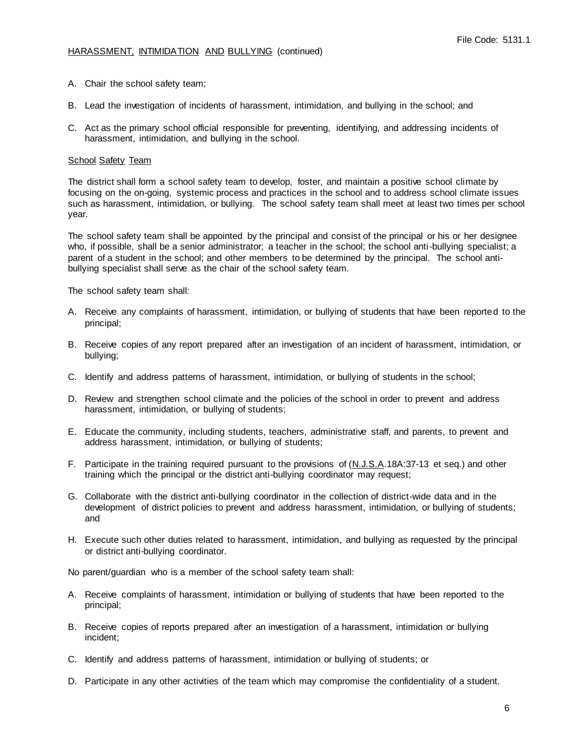- A. Chair the school safety team;
- B. Lead the investigation of incidents of harassment, intimidation, and bullying in the school; and
- C. Act as the primary school official responsible for preventing, identifying, and addressing incidents of harassment, intimidation, and bullying in the school.

### School Safety Team

The district shall form a school safety team to develop, foster, and maintain a positive school climate by focusing on the on-going, systemic process and practices in the school and to address school climate issues such as harassment, intimidation, or bullying. The school safety team shall meet at least two times per school year.

The school safety team shall be appointed by the principal and consist of the principal or his or her designee who, if possible, shall be a senior administrator; a teacher in the school; the school anti-bullying specialist; a parent of a student in the school; and other members to be determined by the principal. The school antibullying specialist shall serve as the chair of the school safety team.

The school safety team shall:

- A. Receive any complaints of harassment, intimidation, or bullying of students that have been reported to the principal;
- B. Receive copies of any report prepared after an investigation of an incident of harassment, intimidation, or bullying;
- C. Identify and address patterns of harassment, intimidation, or bullying of students in the school;
- D. Review and strengthen school climate and the policies of the school in order to prevent and address harassment, intimidation, or bullying of students;
- E. Educate the community, including students, teachers, administrative staff, and parents, to prevent and address harassment, intimidation, or bullying of students;
- F. Participate in the training required pursuant to the provisions of (N.J.S.A.18A:37-13 et seq.) and other training which the principal or the district anti-bullying coordinator may request;
- G. Collaborate with the district anti-bullying coordinator in the collection of district-wide data and in the development of district policies to prevent and address harassment, intimidation, or bullying of students; and
- H. Execute such other duties related to harassment, intimidation, and bullying as requested by the principal or district anti-bullying coordinator.

No parent/guardian who is a member of the school safety team shall:

- A. Receive complaints of harassment, intimidation or bullying of students that have been reported to the principal;
- B. Receive copies of reports prepared after an investigation of a harassment, intimidation or bullying incident;
- C. Identify and address patterns of harassment, intimidation or bullying of students; or
- D. Participate in any other activities of the team which may compromise the confidentiality of a student.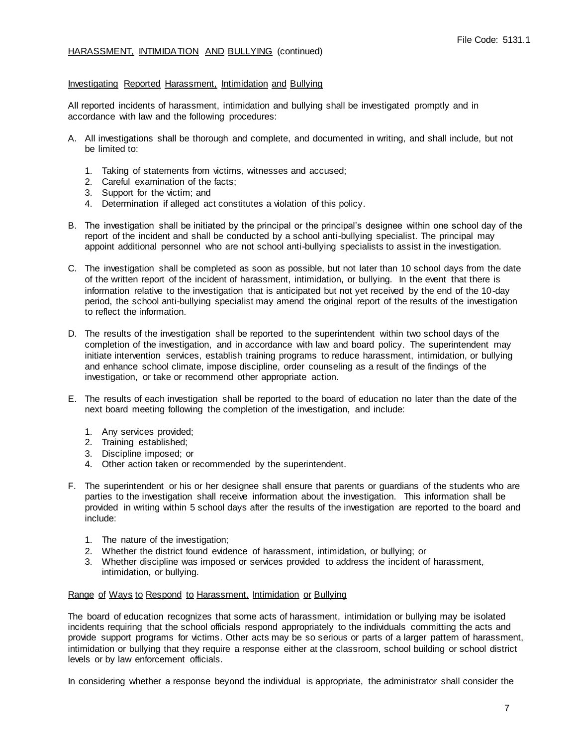## Investigating Reported Harassment, Intimidation and Bullying

All reported incidents of harassment, intimidation and bullying shall be investigated promptly and in accordance with law and the following procedures:

- A. All investigations shall be thorough and complete, and documented in writing, and shall include, but not be limited to:
	- 1. Taking of statements from victims, witnesses and accused;
	- 2. Careful examination of the facts;
	- 3. Support for the victim; and
	- 4. Determination if alleged act constitutes a violation of this policy.
- B. The investigation shall be initiated by the principal or the principal's designee within one school day of the report of the incident and shall be conducted by a school anti-bullying specialist. The principal may appoint additional personnel who are not school anti-bullying specialists to assist in the investigation.
- C. The investigation shall be completed as soon as possible, but not later than 10 school days from the date of the written report of the incident of harassment, intimidation, or bullying. In the event that there is information relative to the investigation that is anticipated but not yet received by the end of the 10-day period, the school anti-bullying specialist may amend the original report of the results of the investigation to reflect the information.
- D. The results of the investigation shall be reported to the superintendent within two school days of the completion of the investigation, and in accordance with law and board policy. The superintendent may initiate intervention services, establish training programs to reduce harassment, intimidation, or bullying and enhance school climate, impose discipline, order counseling as a result of the findings of the investigation, or take or recommend other appropriate action.
- E. The results of each investigation shall be reported to the board of education no later than the date of the next board meeting following the completion of the investigation, and include:
	- 1. Any services provided;
	- 2. Training established;
	- 3. Discipline imposed; or
	- 4. Other action taken or recommended by the superintendent.
- F. The superintendent or his or her designee shall ensure that parents or guardians of the students who are parties to the investigation shall receive information about the investigation. This information shall be provided in writing within 5 school days after the results of the investigation are reported to the board and include:
	- 1. The nature of the investigation;
	- 2. Whether the district found evidence of harassment, intimidation, or bullying; or
	- 3. Whether discipline was imposed or services provided to address the incident of harassment, intimidation, or bullying.

#### Range of Ways to Respond to Harassment, Intimidation or Bullying

The board of education recognizes that some acts of harassment, intimidation or bullying may be isolated incidents requiring that the school officials respond appropriately to the individuals committing the acts and provide support programs for victims. Other acts may be so serious or parts of a larger pattern of harassment, intimidation or bullying that they require a response either at the classroom, school building or school district levels or by law enforcement officials.

In considering whether a response beyond the individual is appropriate, the administrator shall consider the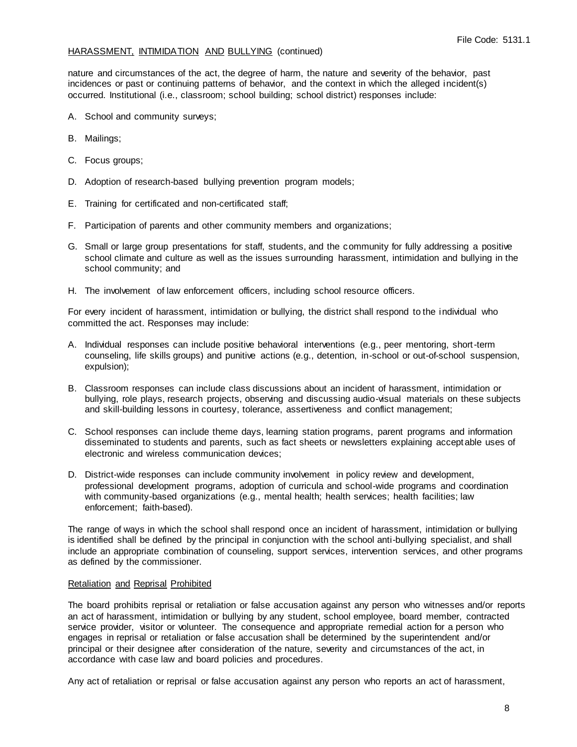nature and circumstances of the act, the degree of harm, the nature and severity of the behavior, past incidences or past or continuing patterns of behavior, and the context in which the alleged incident(s) occurred. Institutional (i.e., classroom; school building; school district) responses include:

- A. School and community surveys;
- B. Mailings;
- C. Focus groups;
- D. Adoption of research-based bullying prevention program models;
- E. Training for certificated and non-certificated staff;
- F. Participation of parents and other community members and organizations;
- G. Small or large group presentations for staff, students, and the community for fully addressing a positive school climate and culture as well as the issues surrounding harassment, intimidation and bullying in the school community; and
- H. The involvement of law enforcement officers, including school resource officers.

For every incident of harassment, intimidation or bullying, the district shall respond to the individual who committed the act. Responses may include:

- A. Individual responses can include positive behavioral interventions (e.g., peer mentoring, short-term counseling, life skills groups) and punitive actions (e.g., detention, in-school or out-of-school suspension, expulsion);
- B. Classroom responses can include class discussions about an incident of harassment, intimidation or bullying, role plays, research projects, observing and discussing audio-visual materials on these subjects and skill-building lessons in courtesy, tolerance, assertiveness and conflict management;
- C. School responses can include theme days, learning station programs, parent programs and information disseminated to students and parents, such as fact sheets or newsletters explaining accept able uses of electronic and wireless communication devices;
- D. District-wide responses can include community involvement in policy review and development, professional development programs, adoption of curricula and school-wide programs and coordination with community-based organizations (e.g., mental health; health services; health facilities; law enforcement; faith-based).

The range of ways in which the school shall respond once an incident of harassment, intimidation or bullying is identified shall be defined by the principal in conjunction with the school anti-bullying specialist, and shall include an appropriate combination of counseling, support services, intervention services, and other programs as defined by the commissioner.

## Retaliation and Reprisal Prohibited

The board prohibits reprisal or retaliation or false accusation against any person who witnesses and/or reports an act of harassment, intimidation or bullying by any student, school employee, board member, contracted service provider, visitor or volunteer. The consequence and appropriate remedial action for a person who engages in reprisal or retaliation or false accusation shall be determined by the superintendent and/or principal or their designee after consideration of the nature, severity and circumstances of the act, in accordance with case law and board policies and procedures.

Any act of retaliation or reprisal or false accusation against any person who reports an act of harassment,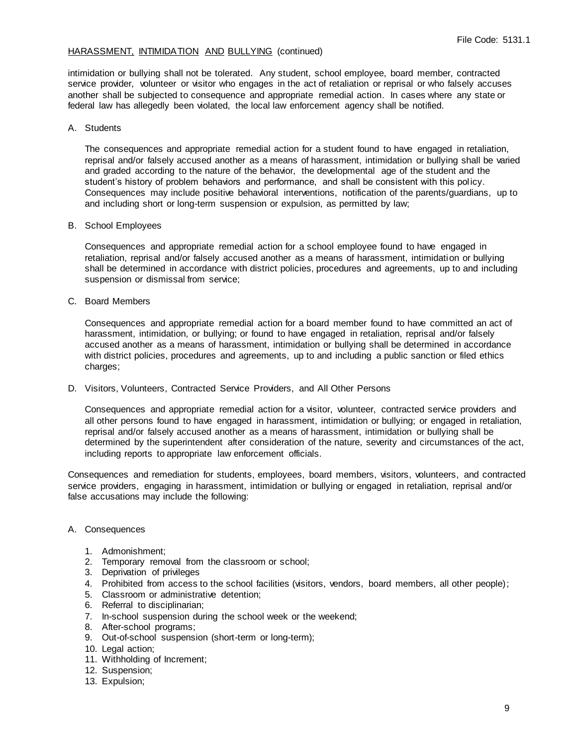intimidation or bullying shall not be tolerated. Any student, school employee, board member, contracted service provider, volunteer or visitor who engages in the act of retaliation or reprisal or who falsely accuses another shall be subjected to consequence and appropriate remedial action. In cases where any state or federal law has allegedly been violated, the local law enforcement agency shall be notified.

### A. Students

The consequences and appropriate remedial action for a student found to have engaged in retaliation, reprisal and/or falsely accused another as a means of harassment, intimidation or bullying shall be varied and graded according to the nature of the behavior, the developmental age of the student and the student's history of problem behaviors and performance, and shall be consistent with this policy. Consequences may include positive behavioral interventions, notification of the parents/guardians, up to and including short or long-term suspension or expulsion, as permitted by law;

### B. School Employees

Consequences and appropriate remedial action for a school employee found to have engaged in retaliation, reprisal and/or falsely accused another as a means of harassment, intimidation or bullying shall be determined in accordance with district policies, procedures and agreements, up to and including suspension or dismissal from service;

C. Board Members

Consequences and appropriate remedial action for a board member found to have committed an act of harassment, intimidation, or bullying; or found to have engaged in retaliation, reprisal and/or falsely accused another as a means of harassment, intimidation or bullying shall be determined in accordance with district policies, procedures and agreements, up to and including a public sanction or filed ethics charges:

D. Visitors, Volunteers, Contracted Service Providers, and All Other Persons

Consequences and appropriate remedial action for a visitor, volunteer, contracted service providers and all other persons found to have engaged in harassment, intimidation or bullying; or engaged in retaliation, reprisal and/or falsely accused another as a means of harassment, intimidation or bullying shall be determined by the superintendent after consideration of the nature, severity and circumstances of the act, including reports to appropriate law enforcement officials.

Consequences and remediation for students, employees, board members, visitors, volunteers, and contracted service providers, engaging in harassment, intimidation or bullying or engaged in retaliation, reprisal and/or false accusations may include the following:

- A. Consequences
	- 1. Admonishment;
	- 2. Temporary removal from the classroom or school;
	- 3. Deprivation of privileges
	- 4. Prohibited from access to the school facilities (visitors, vendors, board members, all other people);
	- 5. Classroom or administrative detention;
	- 6. Referral to disciplinarian;
	- 7. In-school suspension during the school week or the weekend;
	- 8. After-school programs;
	- 9. Out-of-school suspension (short-term or long-term);
	- 10. Legal action;
	- 11. Withholding of Increment;
	- 12. Suspension;
	- 13. Expulsion;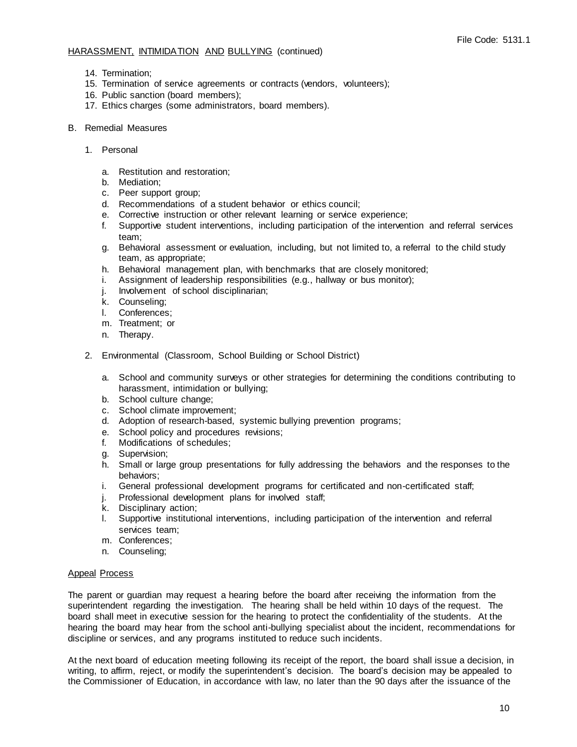- 14. Termination;
- 15. Termination of service agreements or contracts (vendors, volunteers);
- 16. Public sanction (board members);
- 17. Ethics charges (some administrators, board members).
- B. Remedial Measures
	- 1. Personal
		- a. Restitution and restoration;
		- b. Mediation;
		- c. Peer support group;
		- d. Recommendations of a student behavior or ethics council;
		- e. Corrective instruction or other relevant learning or service experience;
		- f. Supportive student interventions, including participation of the intervention and referral services team;
		- g. Behavioral assessment or evaluation, including, but not limited to, a referral to the child study team, as appropriate;
		- h. Behavioral management plan, with benchmarks that are closely monitored;
		- i. Assignment of leadership responsibilities (e.g., hallway or bus monitor);
		- j. Involvement of school disciplinarian;
		- k. Counseling;
		- l. Conferences;
		- m. Treatment; or
		- n. Therapy.
	- 2. Environmental (Classroom, School Building or School District)
		- a. School and community surveys or other strategies for determining the conditions contributing to harassment, intimidation or bullying;
		- b. School culture change;
		- c. School climate improvement;
		- d. Adoption of research-based, systemic bullying prevention programs;
		- e. School policy and procedures revisions;<br>f. Modifications of schedules:
		- Modifications of schedules;
		- g. Supervision;
		- h. Small or large group presentations for fully addressing the behaviors and the responses to the behaviors;
		- i. General professional development programs for certificated and non-certificated staff;
		- j. Professional development plans for involved staff;
		- k. Disciplinary action;
		- l. Supportive institutional interventions, including participation of the intervention and referral services team;
		- m. Conferences;
		- n. Counseling;

## Appeal Process

The parent or guardian may request a hearing before the board after receiving the information from the superintendent regarding the investigation. The hearing shall be held within 10 days of the request. The board shall meet in executive session for the hearing to protect the confidentiality of the students. At the hearing the board may hear from the school anti-bullying specialist about the incident, recommendations for discipline or services, and any programs instituted to reduce such incidents.

At the next board of education meeting following its receipt of the report, the board shall issue a decision, in writing, to affirm, reject, or modify the superintendent's decision. The board's decision may be appealed to the Commissioner of Education, in accordance with law, no later than the 90 days after the issuance of the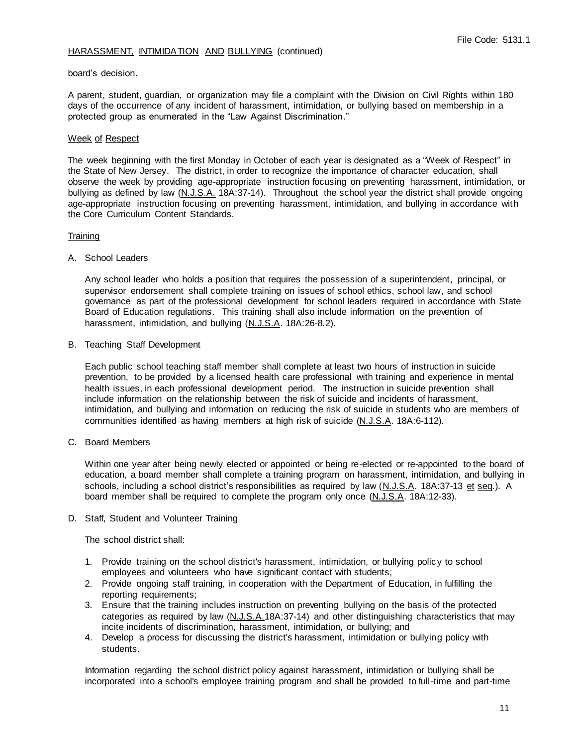### board's decision.

A parent, student, guardian, or organization may file a complaint with the Division on Civil Rights within 180 days of the occurrence of any incident of harassment, intimidation, or bullying based on membership in a protected group as enumerated in the "Law Against Discrimination."

## Week of Respect

The week beginning with the first Monday in October of each year is designated as a "Week of Respect" in the State of New Jersey. The district, in order to recognize the importance of character education, shall observe the week by providing age-appropriate instruction focusing on preventing harassment, intimidation, or bullying as defined by law (N.J.S.A. 18A:37-14). Throughout the school year the district shall provide ongoing age-appropriate instruction focusing on preventing harassment, intimidation, and bullying in accordance with the Core Curriculum Content Standards.

## **Training**

A. School Leaders

Any school leader who holds a position that requires the possession of a superintendent, principal, or supervisor endorsement shall complete training on issues of school ethics, school law, and school governance as part of the professional development for school leaders required in accordance with State Board of Education regulations. This training shall also include information on the prevention of harassment, intimidation, and bullying (N.J.S.A. 18A:26-8.2).

B. Teaching Staff Development

Each public school teaching staff member shall complete at least two hours of instruction in suicide prevention, to be provided by a licensed health care professional with training and experience in mental health issues, in each professional development period. The instruction in suicide prevention shall include information on the relationship between the risk of suicide and incidents of harassment, intimidation, and bullying and information on reducing the risk of suicide in students who are members of communities identified as having members at high risk of suicide (N.J.S.A. 18A:6-112).

C. Board Members

Within one year after being newly elected or appointed or being re-elected or re-appointed to the board of education, a board member shall complete a training program on harassment, intimidation, and bullying in schools, including a school district's responsibilities as required by law (N.J.S.A. 18A:37-13 et seq.). A board member shall be required to complete the program only once (N.J.S.A. 18A:12-33).

D. Staff, Student and Volunteer Training

The school district shall:

- 1. Provide training on the school district's harassment, intimidation, or bullying polic y to school employees and volunteers who have significant contact with students;
- 2. Provide ongoing staff training, in cooperation with the Department of Education, in fulfilling the reporting requirements;
- 3. Ensure that the training includes instruction on preventing bullying on the basis of the protected categories as required by law (N.J.S.A.18A:37-14) and other distinguishing characteristics that may incite incidents of discrimination, harassment, intimidation, or bullying; and
- 4. Develop a process for discussing the district's harassment, intimidation or bullying policy with students.

Information regarding the school district policy against harassment, intimidation or bullying shall be incorporated into a school's employee training program and shall be provided to full-time and part-time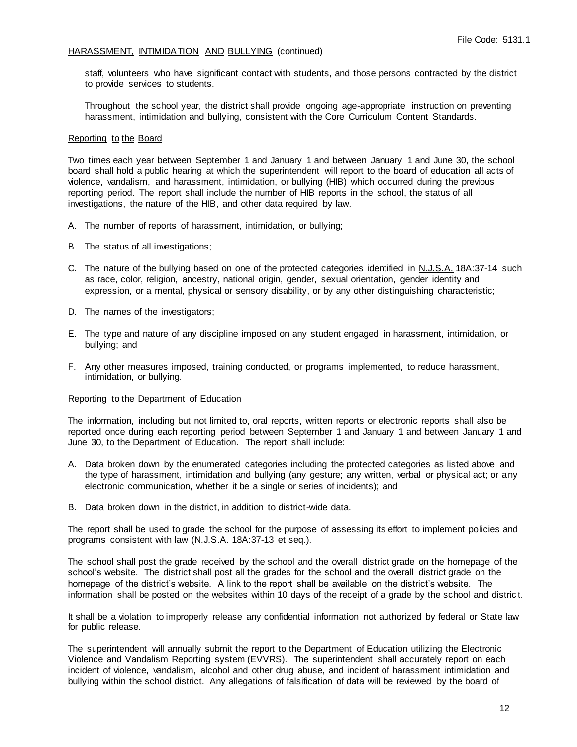staff, volunteers who have significant contact with students, and those persons contracted by the district to provide services to students.

Throughout the school year, the district shall provide ongoing age-appropriate instruction on preventing harassment, intimidation and bullying, consistent with the Core Curriculum Content Standards.

### Reporting to the Board

Two times each year between September 1 and January 1 and between January 1 and June 30, the school board shall hold a public hearing at which the superintendent will report to the board of education all acts of violence, vandalism, and harassment, intimidation, or bullying (HIB) which occurred during the previous reporting period. The report shall include the number of HIB reports in the school, the status of all investigations, the nature of the HIB, and other data required by law.

- A. The number of reports of harassment, intimidation, or bullying;
- B. The status of all investigations;
- C. The nature of the bullying based on one of the protected categories identified in N.J.S.A. 18A:37-14 such as race, color, religion, ancestry, national origin, gender, sexual orientation, gender identity and expression, or a mental, physical or sensory disability, or by any other distinguishing characteristic;
- D. The names of the investigators;
- E. The type and nature of any discipline imposed on any student engaged in harassment, intimidation, or bullying; and
- F. Any other measures imposed, training conducted, or programs implemented, to reduce harassment, intimidation, or bullying.

## Reporting to the Department of Education

The information, including but not limited to, oral reports, written reports or electronic reports shall also be reported once during each reporting period between September 1 and January 1 and between January 1 and June 30, to the Department of Education. The report shall include:

- A. Data broken down by the enumerated categories including the protected categories as listed above and the type of harassment, intimidation and bullying (any gesture; any written, verbal or physical act; or any electronic communication, whether it be a single or series of incidents); and
- B. Data broken down in the district, in addition to district-wide data.

The report shall be used to grade the school for the purpose of assessing its effort to implement policies and programs consistent with law (N.J.S.A. 18A:37-13 et seq.).

The school shall post the grade received by the school and the overall district grade on the homepage of the school's website. The district shall post all the grades for the school and the overall district grade on the homepage of the district's website. A link to the report shall be available on the district's website. The information shall be posted on the websites within 10 days of the receipt of a grade by the school and district.

It shall be a violation to improperly release any confidential information not authorized by federal or State law for public release.

The superintendent will annually submit the report to the Department of Education utilizing the Electronic Violence and Vandalism Reporting system (EVVRS). The superintendent shall accurately report on each incident of violence, vandalism, alcohol and other drug abuse, and incident of harassment intimidation and bullying within the school district. Any allegations of falsification of data will be reviewed by the board of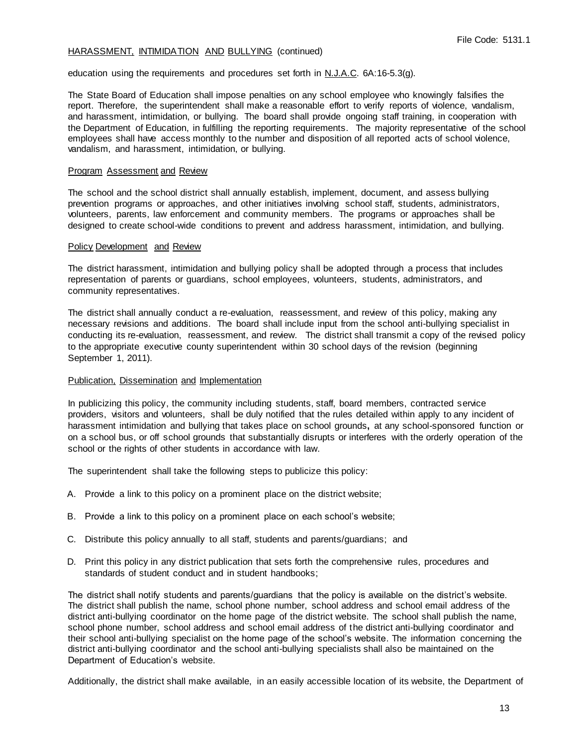education using the requirements and procedures set forth in N.J.A.C. 6A:16-5.3(g).

The State Board of Education shall impose penalties on any school employee who knowingly falsifies the report. Therefore, the superintendent shall make a reasonable effort to verify reports of violence, vandalism, and harassment, intimidation, or bullying. The board shall provide ongoing staff training, in cooperation with the Department of Education, in fulfilling the reporting requirements. The majority representative of the school employees shall have access monthly to the number and disposition of all reported acts of school violence, vandalism, and harassment, intimidation, or bullying.

### Program Assessment and Review

The school and the school district shall annually establish, implement, document, and assess bullying prevention programs or approaches, and other initiatives involving school staff, students, administrators, volunteers, parents, law enforcement and community members. The programs or approaches shall be designed to create school-wide conditions to prevent and address harassment, intimidation, and bullying.

#### Policy Development and Review

The district harassment, intimidation and bullying policy shall be adopted through a process that includes representation of parents or guardians, school employees, volunteers, students, administrators, and community representatives.

The district shall annually conduct a re-evaluation, reassessment, and review of this policy, making any necessary revisions and additions. The board shall include input from the school anti-bullying specialist in conducting its re-evaluation, reassessment, and review. The district shall transmit a copy of the revised policy to the appropriate executive county superintendent within 30 school days of the revision (beginning September 1, 2011).

## Publication, Dissemination and Implementation

In publicizing this policy, the community including students, staff, board members, contracted service providers, visitors and volunteers, shall be duly notified that the rules detailed within apply to any incident of harassment intimidation and bullying that takes place on school grounds**,** at any school-sponsored function or on a school bus, or off school grounds that substantially disrupts or interferes with the orderly operation of the school or the rights of other students in accordance with law.

The superintendent shall take the following steps to publicize this policy:

- A. Provide a link to this policy on a prominent place on the district website;
- B. Provide a link to this policy on a prominent place on each school's website;
- C. Distribute this policy annually to all staff, students and parents/guardians; and
- D. Print this policy in any district publication that sets forth the comprehensive rules, procedures and standards of student conduct and in student handbooks;

The district shall notify students and parents/guardians that the policy is available on the district's website. The district shall publish the name, school phone number, school address and school email address of the district anti-bullying coordinator on the home page of the district website. The school shall publish the name, school phone number, school address and school email address of the district anti-bullying coordinator and their school anti-bullying specialist on the home page of the school's website. The information concerning the district anti-bullying coordinator and the school anti-bullying specialists shall also be maintained on the Department of Education's website.

Additionally, the district shall make available, in an easily accessible location of its website, the Department of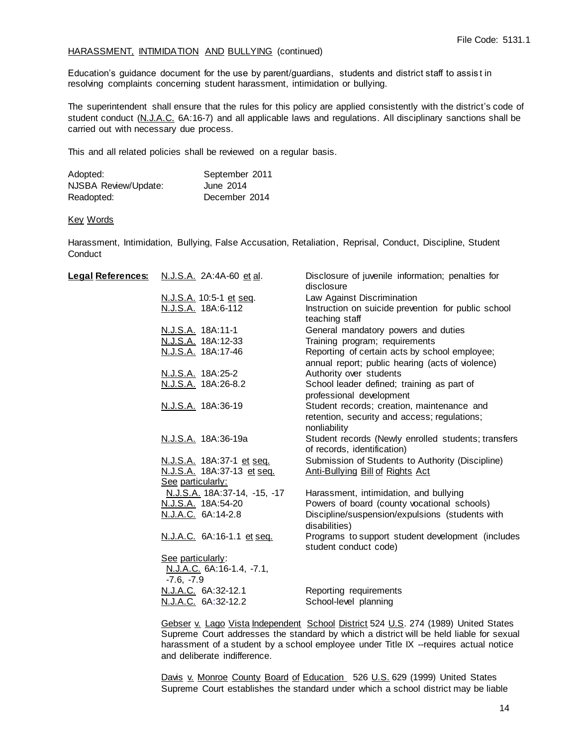Education's guidance document for the use by parent/guardians, students and district staff to assis t in resolving complaints concerning student harassment, intimidation or bullying.

The superintendent shall ensure that the rules for this policy are applied consistently with the district's code of student conduct (N.J.A.C. 6A:16-7) and all applicable laws and regulations. All disciplinary sanctions shall be carried out with necessary due process.

This and all related policies shall be reviewed on a regular basis.

| Adopted:             | September 2011 |
|----------------------|----------------|
| NJSBA Review/Update: | June 2014      |
| Readopted:           | December 2014  |

## Key Words

Harassment, Intimidation, Bullying, False Accusation, Retaliation, Reprisal, Conduct, Discipline, Student **Conduct** 

| <b>Legal References:</b> | N.J.S.A. 2A:4A-60 et al.                                       | Disclosure of juvenile information; penalties for<br>disclosure                                            |
|--------------------------|----------------------------------------------------------------|------------------------------------------------------------------------------------------------------------|
|                          | N.J.S.A. 10:5-1 et seq.                                        | Law Against Discrimination                                                                                 |
|                          | N.J.S.A. 18A:6-112                                             | Instruction on suicide prevention for public school<br>teaching staff                                      |
|                          | <u>N.J.S.A.</u> 18A:11-1                                       | General mandatory powers and duties                                                                        |
|                          | N.J.S.A. 18A:12-33                                             | Training program; requirements                                                                             |
|                          | N.J.S.A. 18A:17-46                                             | Reporting of certain acts by school employee;<br>annual report; public hearing (acts of violence)          |
|                          | N.J.S.A. 18A:25-2                                              | Authority over students                                                                                    |
|                          | N.J.S.A. 18A:26-8.2                                            | School leader defined; training as part of<br>professional development                                     |
|                          | N.J.S.A. 18A:36-19                                             | Student records; creation, maintenance and<br>retention, security and access; regulations;<br>nonliability |
|                          | N.J.S.A. 18A:36-19a                                            | Student records (Newly enrolled students; transfers<br>of records, identification)                         |
|                          | N.J.S.A. 18A:37-1 et seq.                                      | Submission of Students to Authority (Discipline)                                                           |
|                          | N.J.S.A. 18A:37-13 et seq.                                     | Anti-Bullying Bill of Rights Act                                                                           |
|                          | See particularly:                                              |                                                                                                            |
|                          | N.J.S.A. 18A:37-14, -15, -17                                   | Harassment, intimidation, and bullying                                                                     |
|                          | N.J.S.A. 18A:54-20                                             | Powers of board (county vocational schools)                                                                |
|                          | N.J.A.C. 6A:14-2.8                                             | Discipline/suspension/expulsions (students with<br>disabilities)                                           |
|                          | N.J.A.C. 6A:16-1.1 et seq.                                     | Programs to support student development (includes<br>student conduct code)                                 |
|                          | See particularly:<br>N.J.A.C. 6A:16-1.4, -7.1,<br>$-7.6, -7.9$ |                                                                                                            |
|                          | N.J.A.C. 6A:32-12.1                                            | Reporting requirements                                                                                     |
|                          | N.J.A.C. 6A:32-12.2                                            | School-level planning                                                                                      |
|                          |                                                                |                                                                                                            |

Gebser v. Lago Vista Independent School District 524 U.S. 274 (1989) United States Supreme Court addresses the standard by which a district will be held liable for sexual harassment of a student by a school employee under Title IX --requires actual notice and deliberate indifference.

Davis v. Monroe County Board of Education 526 U.S. 629 (1999) United States Supreme Court establishes the standard under which a school district may be liable